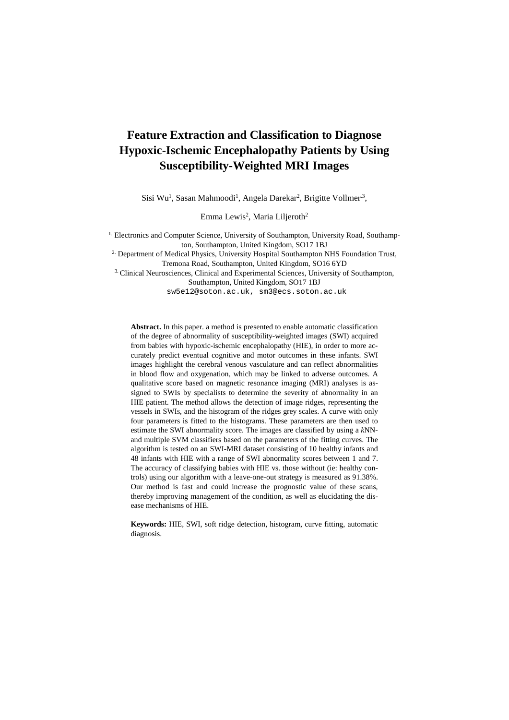# **Feature Extraction and Classification to Diagnose Hypoxic-Ischemic Encephalopathy Patients by Using Susceptibility-Weighted MRI Images**

Sisi Wu<sup>1</sup>, Sasan Mahmoodi<sup>1</sup>, Angela Darekar<sup>2</sup>, Brigitte Vollmer<sup>3</sup>,

Emma Lewis<sup>2</sup>, Maria Liljeroth<sup>2</sup>

<sup>1.</sup> Electronics and Computer Science, University of Southampton, University Road, Southampton, Southampton, United Kingdom, SO17 1BJ

2. Department of Medical Physics, University Hospital Southampton NHS Foundation Trust, Tremona Road, Southampton, United Kingdom, SO16 6YD

3. Clinical Neurosciences, Clinical and Experimental Sciences, University of Southampton, Southampton, United Kingdom, SO17 1BJ

[sw5e12@soton.ac.uk,](mailto:sw5e12@soton.ac.uk) sm3@ecs.soton.ac.uk

**Abstract.** In this paper. a method is presented to enable automatic classification of the degree of abnormality of susceptibility-weighted images (SWI) acquired from babies with hypoxic-ischemic encephalopathy (HIE), in order to more accurately predict eventual cognitive and motor outcomes in these infants. SWI images highlight the cerebral venous vasculature and can reflect abnormalities in blood flow and oxygenation, which may be linked to adverse outcomes. A qualitative score based on magnetic resonance imaging (MRI) analyses is assigned to SWIs by specialists to determine the severity of abnormality in an HIE patient. The method allows the detection of image ridges, representing the vessels in SWIs, and the histogram of the ridges grey scales. A curve with only four parameters is fitted to the histograms. These parameters are then used to estimate the SWI abnormality score. The images are classified by using a *k*NNand multiple SVM classifiers based on the parameters of the fitting curves. The algorithm is tested on an SWI-MRI dataset consisting of 10 healthy infants and 48 infants with HIE with a range of SWI abnormality scores between 1 and 7. The accuracy of classifying babies with HIE vs. those without (ie: healthy controls) using our algorithm with a leave-one-out strategy is measured as 91.38%. Our method is fast and could increase the prognostic value of these scans, thereby improving management of the condition, as well as elucidating the disease mechanisms of HIE.

**Keywords:** HIE, SWI, soft ridge detection, histogram, curve fitting, automatic diagnosis.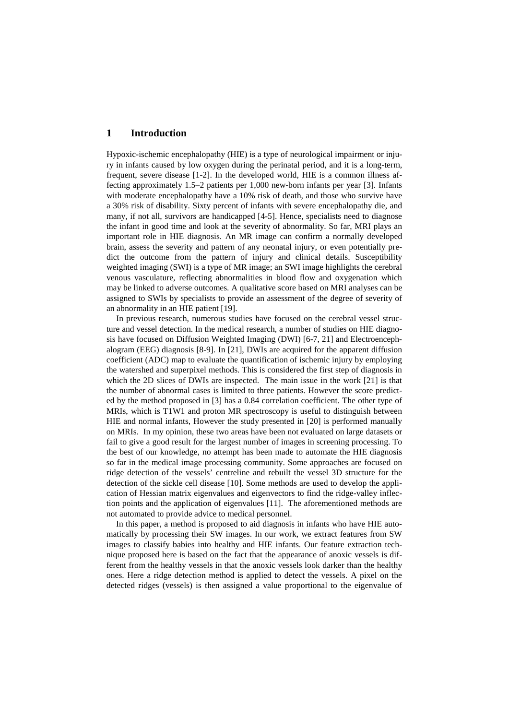### **1 Introduction**

Hypoxic-ischemic encephalopathy (HIE) is a type of neurological impairment or injury in infants caused by low oxygen during the perinatal period, and it is a long-term, frequent, severe disease [1-2]. In the developed world, HIE is a common illness affecting approximately 1.5–2 patients per 1,000 new-born infants per year [3]. Infants with moderate encephalopathy have a 10% risk of death, and those who survive have a 30% risk of disability. Sixty percent of infants with severe encephalopathy die, and many, if not all, survivors are handicapped [4-5]. Hence, specialists need to diagnose the infant in good time and look at the severity of abnormality. So far, MRI plays an important role in HIE diagnosis. An MR image can confirm a normally developed brain, assess the severity and pattern of any neonatal injury, or even potentially predict the outcome from the pattern of injury and clinical details. Susceptibility weighted imaging (SWI) is a type of MR image; an SWI image highlights the cerebral venous vasculature, reflecting abnormalities in blood flow and oxygenation which may be linked to adverse outcomes. A qualitative score based on MRI analyses can be assigned to SWIs by specialists to provide an assessment of the degree of severity of an abnormality in an HIE patient [19].

In previous research, numerous studies have focused on the cerebral vessel structure and vessel detection. In the medical research, a number of studies on HIE diagnosis have focused on Diffusion Weighted Imaging (DWI) [6-7, 21] and Electroencephalogram (EEG) diagnosis [8-9]. In [21], DWIs are acquired for the apparent diffusion coefficient (ADC) map to evaluate the quantification of ischemic injury by employing the watershed and superpixel methods. This is considered the first step of diagnosis in which the 2D slices of DWIs are inspected. The main issue in the work [21] is that the number of abnormal cases is limited to three patients. However the score predicted by the method proposed in [3] has a 0.84 correlation coefficient. The other type of MRIs, which is T1W1 and proton MR spectroscopy is useful to distinguish between HIE and normal infants, However the study presented in [20] is performed manually on MRIs. In my opinion, these two areas have been not evaluated on large datasets or fail to give a good result for the largest number of images in screening processing. To the best of our knowledge, no attempt has been made to automate the HIE diagnosis so far in the medical image processing community. Some approaches are focused on ridge detection of the vessels' centreline and rebuilt the vessel 3D structure for the detection of the sickle cell disease [10]. Some methods are used to develop the application of Hessian matrix eigenvalues and eigenvectors to find the ridge-valley inflection points and the application of eigenvalues [11]. The aforementioned methods are not automated to provide advice to medical personnel.

In this paper, a method is proposed to aid diagnosis in infants who have HIE automatically by processing their SW images. In our work, we extract features from SW images to classify babies into healthy and HIE infants. Our feature extraction technique proposed here is based on the fact that the appearance of anoxic vessels is different from the healthy vessels in that the anoxic vessels look darker than the healthy ones. Here a ridge detection method is applied to detect the vessels. A pixel on the detected ridges (vessels) is then assigned a value proportional to the eigenvalue of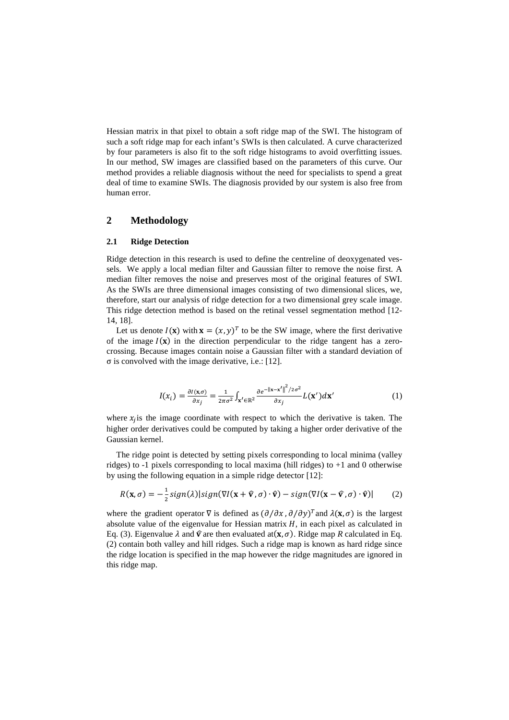Hessian matrix in that pixel to obtain a soft ridge map of the SWI. The histogram of such a soft ridge map for each infant's SWIs is then calculated. A curve characterized by four parameters is also fit to the soft ridge histograms to avoid overfitting issues. In our method, SW images are classified based on the parameters of this curve. Our method provides a reliable diagnosis without the need for specialists to spend a great deal of time to examine SWIs. The diagnosis provided by our system is also free from human error.

# **2 Methodology**

#### **2.1 Ridge Detection**

Ridge detection in this research is used to define the centreline of deoxygenated vessels. We apply a local median filter and Gaussian filter to remove the noise first. A median filter removes the noise and preserves most of the original features of SWI. As the SWIs are three dimensional images consisting of two dimensional slices, we, therefore, start our analysis of ridge detection for a two dimensional grey scale image. This ridge detection method is based on the retinal vessel segmentation method [12- 14, 18].

Let us denote  $I(\mathbf{x})$  with  $\mathbf{x} = (x, y)^T$  to be the SW image, where the first derivative of the image  $I(x)$  in the direction perpendicular to the ridge tangent has a zerocrossing. Because images contain noise a Gaussian filter with a standard deviation of σ is convolved with the image derivative, i.e.: [12].

$$
I(x_i) = \frac{\partial I(x,\sigma)}{\partial x_j} = \frac{1}{2\pi\sigma^2} \int_{\mathbf{x}' \in \mathbb{R}^2} \frac{\partial e^{-\|\mathbf{x} - \mathbf{x}'\|^2 / 2\sigma^2}}{\partial x_j} L(\mathbf{x}') d\mathbf{x}' \tag{1}
$$

where  $x<sub>i</sub>$  is the image coordinate with respect to which the derivative is taken. The higher order derivatives could be computed by taking a higher order derivative of the Gaussian kernel.

The ridge point is detected by setting pixels corresponding to local minima (valley ridges) to -1 pixels corresponding to local maxima (hill ridges) to +1 and 0 otherwise by using the following equation in a simple ridge detector [12]:

$$
R(\mathbf{x}, \sigma) = -\frac{1}{2} sign(\lambda) |sign(\nabla I(\mathbf{x} + \hat{\mathbf{v}}, \sigma) \cdot \hat{\mathbf{v}}) - sign(\nabla I(\mathbf{x} - \hat{\mathbf{v}}, \sigma) \cdot \hat{\mathbf{v}})|
$$
(2)

where the gradient operator  $\nabla$  is defined as  $\left(\frac{\partial}{\partial x}, \frac{\partial}{\partial y}\right)^{T}$  and  $\lambda(\mathbf{x}, \sigma)$  is the largest absolute value of the eigenvalue for Hessian matrix  $H$ , in each pixel as calculated in Eq. (3). Eigenvalue  $\lambda$  and  $\hat{\mathbf{v}}$  are then evaluated at  $(\mathbf{x}, \sigma)$ . Ridge map *R* calculated in Eq. (2) contain both valley and hill ridges. Such a ridge map is known as hard ridge since the ridge location is specified in the map however the ridge magnitudes are ignored in this ridge map.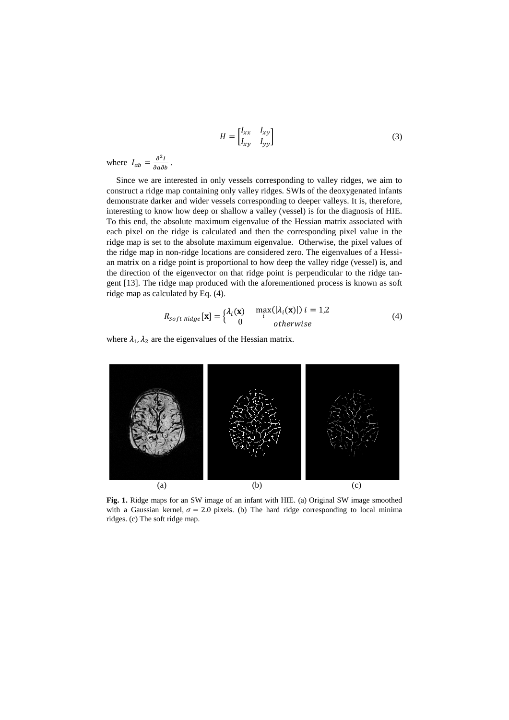$$
H = \begin{bmatrix} I_{xx} & I_{xy} \\ I_{xy} & I_{yy} \end{bmatrix} \tag{3}
$$

where  $I_{ab} = \frac{\partial^2 I}{\partial a \partial b}$ .

Since we are interested in only vessels corresponding to valley ridges, we aim to construct a ridge map containing only valley ridges. SWIs of the deoxygenated infants demonstrate darker and wider vessels corresponding to deeper valleys. It is, therefore, interesting to know how deep or shallow a valley (vessel) is for the diagnosis of HIE. To this end, the absolute maximum eigenvalue of the Hessian matrix associated with each pixel on the ridge is calculated and then the corresponding pixel value in the ridge map is set to the absolute maximum eigenvalue. Otherwise, the pixel values of the ridge map in non-ridge locations are considered zero. The eigenvalues of a Hessian matrix on a ridge point is proportional to how deep the valley ridge (vessel) is, and the direction of the eigenvector on that ridge point is perpendicular to the ridge tangent [13]. The ridge map produced with the aforementioned process is known as soft ridge map as calculated by Eq. (4).

$$
R_{Soft\,Ridge}[\mathbf{x}] = \begin{cases} \lambda_i(\mathbf{x}) & \max_i(|\lambda_i(\mathbf{x})|) \ i = 1,2 \\ 0 & \text{otherwise} \end{cases} \tag{4}
$$

where  $\lambda_1$ ,  $\lambda_2$  are the eigenvalues of the Hessian matrix.



**Fig. 1.** Ridge maps for an SW image of an infant with HIE. (a) Original SW image smoothed with a Gaussian kernel,  $\sigma = 2.0$  pixels. (b) The hard ridge corresponding to local minima ridges. (c) The soft ridge map.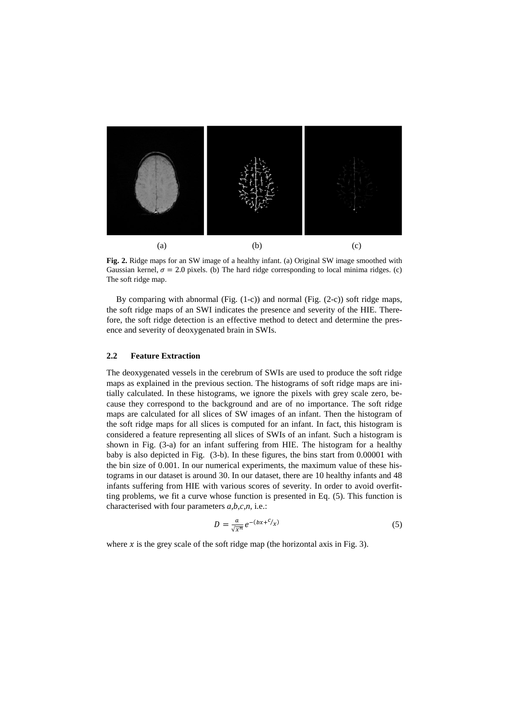

**Fig. 2.** Ridge maps for an SW image of a healthy infant. (a) Original SW image smoothed with Gaussian kernel,  $\sigma = 2.0$  pixels. (b) The hard ridge corresponding to local minima ridges. (c) The soft ridge map.

By comparing with abnormal (Fig.  $(1-c)$ ) and normal (Fig.  $(2-c)$ ) soft ridge maps, the soft ridge maps of an SWI indicates the presence and severity of the HIE. Therefore, the soft ridge detection is an effective method to detect and determine the presence and severity of deoxygenated brain in SWIs.

#### **2.2 Feature Extraction**

The deoxygenated vessels in the cerebrum of SWIs are used to produce the soft ridge maps as explained in the previous section. The histograms of soft ridge maps are initially calculated. In these histograms, we ignore the pixels with grey scale zero, because they correspond to the background and are of no importance. The soft ridge maps are calculated for all slices of SW images of an infant. Then the histogram of the soft ridge maps for all slices is computed for an infant. In fact, this histogram is considered a feature representing all slices of SWIs of an infant. Such a histogram is shown in Fig. (3-a) for an infant suffering from HIE. The histogram for a healthy baby is also depicted in Fig. (3-b). In these figures, the bins start from 0.00001 with the bin size of 0.001. In our numerical experiments, the maximum value of these histograms in our dataset is around 30. In our dataset, there are 10 healthy infants and 48 infants suffering from HIE with various scores of severity. In order to avoid overfitting problems, we fit a curve whose function is presented in Eq. (5). This function is characterised with four parameters *a,b,c,n,* i.e.:

$$
D = \frac{a}{\sqrt{x^n}} e^{-(bx + c/\chi)} \tag{5}
$$

where  $x$  is the grey scale of the soft ridge map (the horizontal axis in Fig. 3).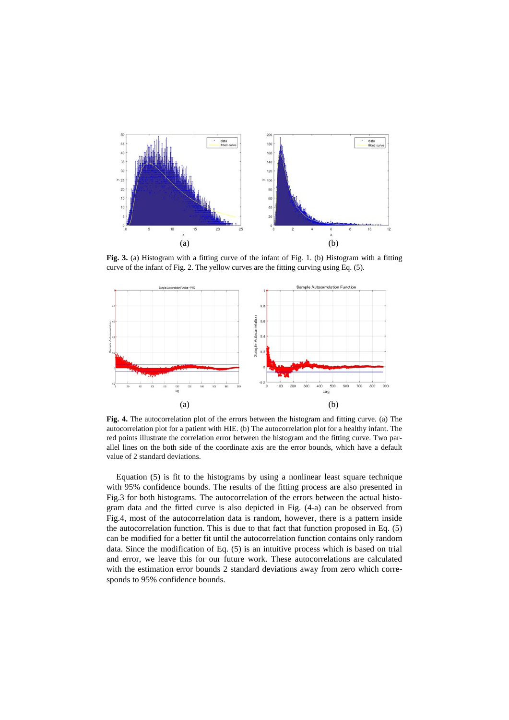

**Fig. 3.** (a) Histogram with a fitting curve of the infant of Fig. 1. (b) Histogram with a fitting curve of the infant of Fig. 2. The yellow curves are the fitting curving using Eq. (5).



**Fig. 4.** The autocorrelation plot of the errors between the histogram and fitting curve. (a) The autocorrelation plot for a patient with HIE. (b) The autocorrelation plot for a healthy infant. The red points illustrate the correlation error between the histogram and the fitting curve. Two parallel lines on the both side of the coordinate axis are the error bounds, which have a default value of 2 standard deviations.

Equation (5) is fit to the histograms by using a nonlinear least square technique with 95% confidence bounds. The results of the fitting process are also presented in Fig.3 for both histograms. The autocorrelation of the errors between the actual histogram data and the fitted curve is also depicted in Fig. (4-a) can be observed from Fig.4, most of the autocorrelation data is random, however, there is a pattern inside the autocorrelation function. This is due to that fact that function proposed in Eq. (5) can be modified for a better fit until the autocorrelation function contains only random data. Since the modification of Eq. (5) is an intuitive process which is based on trial and error, we leave this for our future work. These autocorrelations are calculated with the estimation error bounds 2 standard deviations away from zero which corresponds to 95% confidence bounds.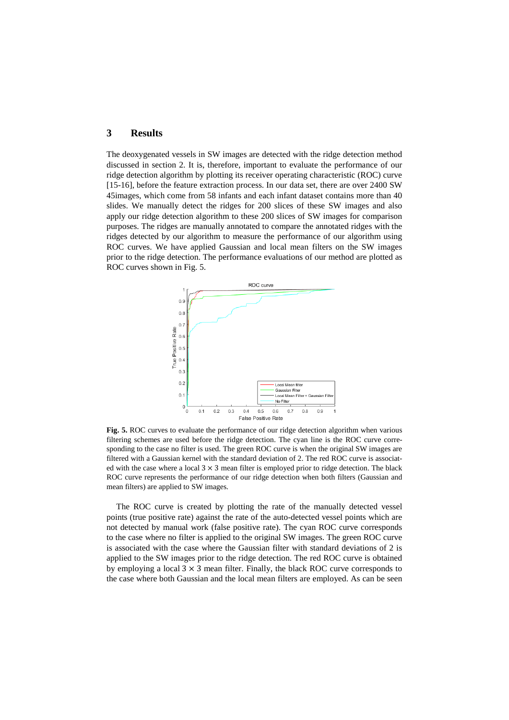### **3 Results**

The deoxygenated vessels in SW images are detected with the ridge detection method discussed in section 2. It is, therefore, important to evaluate the performance of our ridge detection algorithm by plotting its receiver operating characteristic (ROC) curve [15-16], before the feature extraction process. In our data set, there are over 2400 SW 45images, which come from 58 infants and each infant dataset contains more than 40 slides. We manually detect the ridges for 200 slices of these SW images and also apply our ridge detection algorithm to these 200 slices of SW images for comparison purposes. The ridges are manually annotated to compare the annotated ridges with the ridges detected by our algorithm to measure the performance of our algorithm using ROC curves. We have applied Gaussian and local mean filters on the SW images prior to the ridge detection. The performance evaluations of our method are plotted as ROC curves shown in Fig. 5.



**Fig. 5.** ROC curves to evaluate the performance of our ridge detection algorithm when various filtering schemes are used before the ridge detection. The cyan line is the ROC curve corresponding to the case no filter is used. The green ROC curve is when the original SW images are filtered with a Gaussian kernel with the standard deviation of 2. The red ROC curve is associated with the case where a local  $3 \times 3$  mean filter is employed prior to ridge detection. The black ROC curve represents the performance of our ridge detection when both filters (Gaussian and mean filters) are applied to SW images.

The ROC curve is created by plotting the rate of the manually detected vessel points (true positive rate) against the rate of the auto-detected vessel points which are not detected by manual work (false positive rate). The cyan ROC curve corresponds to the case where no filter is applied to the original SW images. The green ROC curve is associated with the case where the Gaussian filter with standard deviations of 2 is applied to the SW images prior to the ridge detection. The red ROC curve is obtained by employing a local  $3 \times 3$  mean filter. Finally, the black ROC curve corresponds to the case where both Gaussian and the local mean filters are employed. As can be seen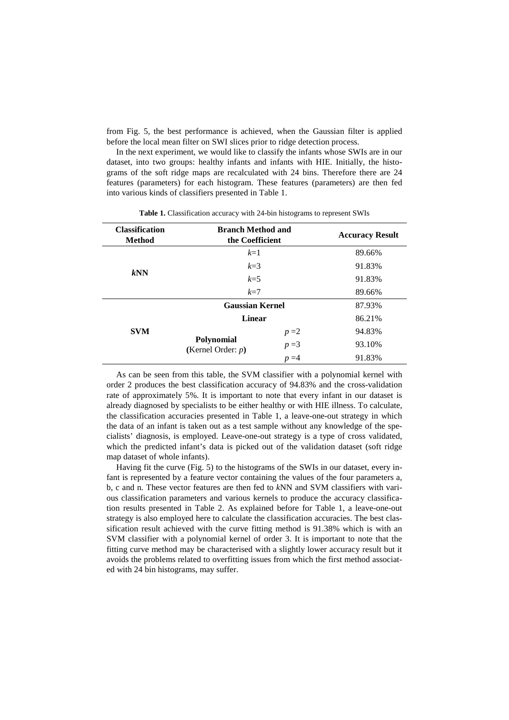from Fig. 5, the best performance is achieved, when the Gaussian filter is applied before the local mean filter on SWI slices prior to ridge detection process.

In the next experiment, we would like to classify the infants whose SWIs are in our dataset, into two groups: healthy infants and infants with HIE. Initially, the histograms of the soft ridge maps are recalculated with 24 bins. Therefore there are 24 features (parameters) for each histogram. These features (parameters) are then fed into various kinds of classifiers presented in Table 1.

| <b>Classification</b><br><b>Method</b> | <b>Branch Method and</b><br>the Coefficient |         | <b>Accuracy Result</b> |
|----------------------------------------|---------------------------------------------|---------|------------------------|
|                                        | $k=1$                                       |         | 89.66%                 |
| kNN                                    | $k=3$                                       |         | 91.83%                 |
|                                        | $k=5$                                       |         |                        |
|                                        | $k=7$                                       |         |                        |
|                                        | <b>Gaussian Kernel</b>                      |         | 87.93%                 |
|                                        | Linear                                      |         | 86.21%                 |
| <b>SVM</b>                             |                                             | $p=2$   | 94.83%                 |
|                                        | Polynomial<br>(Kernel Order: $p$ )          | $p = 3$ | 93.10%                 |
|                                        |                                             | $p = 4$ | 91.83%                 |

**Table 1.** Classification accuracy with 24-bin histograms to represent SWIs

As can be seen from this table, the SVM classifier with a polynomial kernel with order 2 produces the best classification accuracy of 94.83% and the cross-validation rate of approximately 5%. It is important to note that every infant in our dataset is already diagnosed by specialists to be either healthy or with HIE illness. To calculate, the classification accuracies presented in Table 1, a leave-one-out strategy in which the data of an infant is taken out as a test sample without any knowledge of the specialists' diagnosis, is employed. Leave-one-out strategy is a type of cross validated, which the predicted infant's data is picked out of the validation dataset (soft ridge map dataset of whole infants).

Having fit the curve (Fig. 5) to the histograms of the SWIs in our dataset, every infant is represented by a feature vector containing the values of the four parameters a, b, c and n. These vector features are then fed to *k*NN and SVM classifiers with various classification parameters and various kernels to produce the accuracy classification results presented in Table 2. As explained before for Table 1, a leave-one-out strategy is also employed here to calculate the classification accuracies. The best classification result achieved with the curve fitting method is 91.38% which is with an SVM classifier with a polynomial kernel of order 3. It is important to note that the fitting curve method may be characterised with a slightly lower accuracy result but it avoids the problems related to overfitting issues from which the first method associated with 24 bin histograms, may suffer.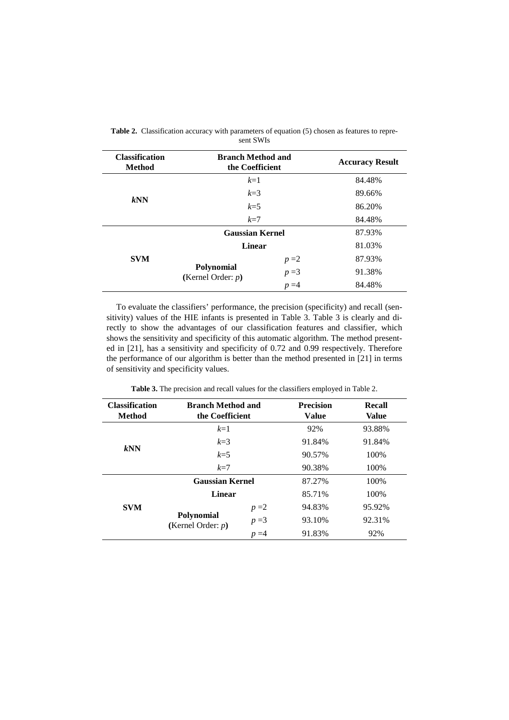| <b>Classification</b><br><b>Method</b> |                                    | <b>Branch Method and</b><br>the Coefficient |        |  |
|----------------------------------------|------------------------------------|---------------------------------------------|--------|--|
|                                        | $k=1$                              |                                             | 84.48% |  |
| kNN                                    | $k=3$                              |                                             | 89.66% |  |
|                                        | $k=5$                              |                                             | 86.20% |  |
|                                        | $k=7$                              |                                             | 84.48% |  |
|                                        | <b>Gaussian Kernel</b>             |                                             | 87.93% |  |
| <b>SVM</b>                             | Linear                             |                                             | 81.03% |  |
|                                        | Polynomial<br>(Kernel Order: $p$ ) | $p=2$                                       | 87.93% |  |
|                                        |                                    | $p=3$                                       | 91.38% |  |
|                                        |                                    | $p = 4$                                     | 84.48% |  |

**Table 2.** Classification accuracy with parameters of equation (5) chosen as features to represent SWIs

To evaluate the classifiers' performance, the precision (specificity) and recall (sensitivity) values of the HIE infants is presented in Table 3. Table 3 is clearly and directly to show the advantages of our classification features and classifier, which shows the sensitivity and specificity of this automatic algorithm. The method presented in [21], has a sensitivity and specificity of 0.72 and 0.99 respectively. Therefore the performance of our algorithm is better than the method presented in [21] in terms of sensitivity and specificity values.

**Table 3.** The precision and recall values for the classifiers employed in Table 2.

| <b>Classification</b><br><b>Method</b> | <b>Branch Method and</b><br>the Coefficient |         | <b>Precision</b><br><b>Value</b> | Recall<br><b>Value</b> |
|----------------------------------------|---------------------------------------------|---------|----------------------------------|------------------------|
|                                        | $k=1$                                       |         | 92%                              | 93.88%                 |
| kNN                                    | $k=3$                                       |         | 91.84%                           | 91.84%                 |
|                                        | $k=5$                                       |         | 90.57%                           | 100%                   |
|                                        | $k=7$                                       |         | 90.38%                           | 100%                   |
|                                        | <b>Gaussian Kernel</b>                      |         | 87.27%                           | 100%                   |
| <b>SVM</b>                             | Linear                                      |         | 85.71%                           | 100%                   |
|                                        | <b>Polynomial</b><br>(Kernel Order: $p$ )   | $p=2$   | 94.83%                           | 95.92%                 |
|                                        |                                             | $p = 3$ | 93.10%                           | 92.31%                 |
|                                        |                                             | $p = 4$ | 91.83%                           | 92%                    |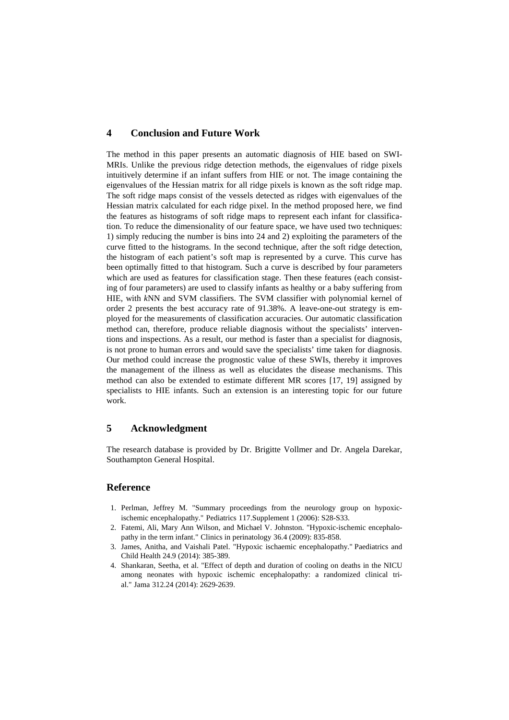## **4 Conclusion and Future Work**

The method in this paper presents an automatic diagnosis of HIE based on SWI-MRIs. Unlike the previous ridge detection methods, the eigenvalues of ridge pixels intuitively determine if an infant suffers from HIE or not. The image containing the eigenvalues of the Hessian matrix for all ridge pixels is known as the soft ridge map. The soft ridge maps consist of the vessels detected as ridges with eigenvalues of the Hessian matrix calculated for each ridge pixel. In the method proposed here, we find the features as histograms of soft ridge maps to represent each infant for classification. To reduce the dimensionality of our feature space, we have used two techniques: 1) simply reducing the number is bins into 24 and 2) exploiting the parameters of the curve fitted to the histograms. In the second technique, after the soft ridge detection, the histogram of each patient's soft map is represented by a curve. This curve has been optimally fitted to that histogram. Such a curve is described by four parameters which are used as features for classification stage. Then these features (each consisting of four parameters) are used to classify infants as healthy or a baby suffering from HIE, with *k*NN and SVM classifiers. The SVM classifier with polynomial kernel of order 2 presents the best accuracy rate of 91.38%. A leave-one-out strategy is employed for the measurements of classification accuracies. Our automatic classification method can, therefore, produce reliable diagnosis without the specialists' interventions and inspections. As a result, our method is faster than a specialist for diagnosis, is not prone to human errors and would save the specialists' time taken for diagnosis. Our method could increase the prognostic value of these SWIs, thereby it improves the management of the illness as well as elucidates the disease mechanisms. This method can also be extended to estimate different MR scores [17, 19] assigned by specialists to HIE infants. Such an extension is an interesting topic for our future work.

# **5 Acknowledgment**

The research database is provided by Dr. Brigitte Vollmer and Dr. Angela Darekar, Southampton General Hospital.

#### **Reference**

- 1. Perlman, Jeffrey M. "Summary proceedings from the neurology group on hypoxicischemic encephalopathy." Pediatrics 117.Supplement 1 (2006): S28-S33.
- 2. Fatemi, Ali, Mary Ann Wilson, and Michael V. Johnston. "Hypoxic-ischemic encephalopathy in the term infant." Clinics in perinatology 36.4 (2009): 835-858.
- 3. James, Anitha, and Vaishali Patel. "Hypoxic ischaemic encephalopathy." Paediatrics and Child Health 24.9 (2014): 385-389.
- 4. Shankaran, Seetha, et al. "Effect of depth and duration of cooling on deaths in the NICU among neonates with hypoxic ischemic encephalopathy: a randomized clinical trial." Jama 312.24 (2014): 2629-2639.